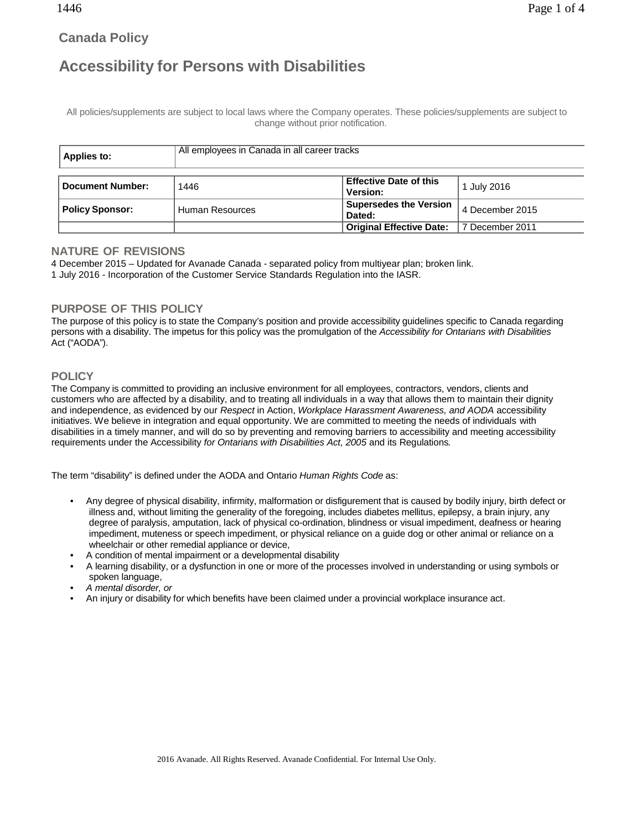# **Canada Policy**

# **Accessibility for Persons with Disabilities**

All policies/supplements are subject to local laws where the Company operates. These policies/supplements are subject to change without prior notification.

| Applies to:             | All employees in Canada in all career tracks |                                 |                 |
|-------------------------|----------------------------------------------|---------------------------------|-----------------|
|                         |                                              |                                 |                 |
| <b>Document Number:</b> | 1446                                         | <b>Effective Date of this</b>   | 1 July 2016     |
|                         |                                              | Version:                        |                 |
| <b>Policy Sponsor:</b>  | Human Resources                              | <b>Supersedes the Version</b>   | 4 December 2015 |
|                         |                                              | Dated:                          |                 |
|                         |                                              | <b>Original Effective Date:</b> | 7 December 2011 |

#### **NATURE OF REVISIONS**

4 December 2015 – Updated for Avanade Canada - separated policy from multiyear plan; broken link.

1 July 2016 - Incorporation of the Customer Service Standards Regulation into the IASR.

### **PURPOSE OF THIS POLICY**

The purpose of this policy is to state the Company's position and provide accessibility guidelines specific to Canada regarding persons with a disability. The impetus for this policy was the promulgation of the *Accessibility for Ontarians with Disabilities* Act ("AODA").

## **POLICY**

The Company is committed to providing an inclusive environment for all employees, contractors, vendors, clients and customers who are affected by a disability, and to treating all individuals in a way that allows them to maintain their dignity and independence, as evidenced by our *Respect* in Action, *Workplace Harassment Awareness, and AODA* accessibility initiatives. We believe in integration and equal opportunity. We are committed to meeting the needs of individuals with disabilities in a timely manner, and will do so by preventing and removing barriers to accessibility and meeting accessibility requirements under the Accessibility *for Ontarians with Disabilities Act, 2005* and its Regulations*.*

The term "disability" is defined under the AODA and Ontario *Human Rights Code* as:

- Any degree of physical disability, infirmity, malformation or disfigurement that is caused by bodily injury, birth defect or illness and, without limiting the generality of the foregoing, includes diabetes mellitus, epilepsy, a brain injury, any degree of paralysis, amputation, lack of physical co-ordination, blindness or visual impediment, deafness or hearing impediment, muteness or speech impediment, or physical reliance on a guide dog or other animal or reliance on a wheelchair or other remedial appliance or device,
- A condition of mental impairment or a developmental disability
- A learning disability, or a dysfunction in one or more of the processes involved in understanding or using symbols or spoken language,
- *A mental disorder, or*
- An injury or disability for which benefits have been claimed under a provincial workplace insurance act.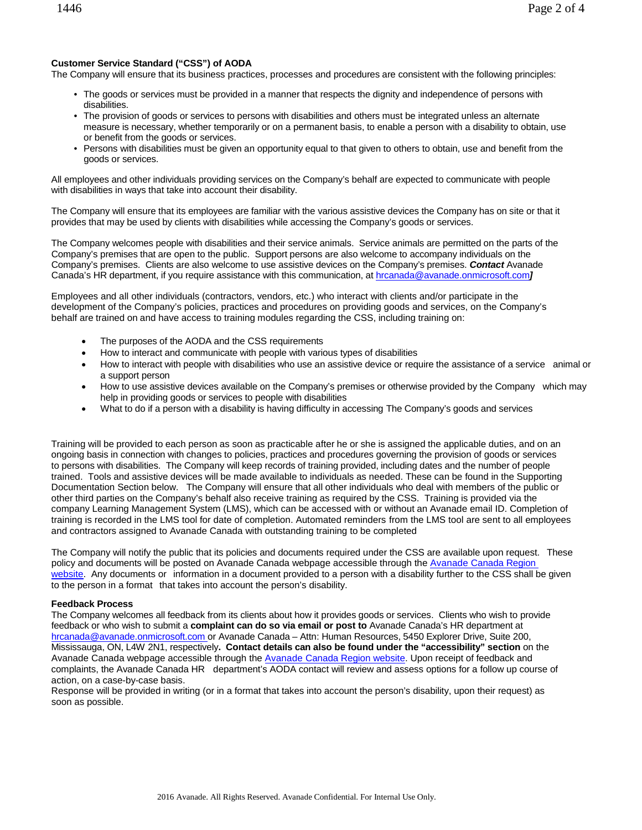#### <span id="page-1-0"></span>**Customer Service Standard ("CSS") of AODA**

The Company will ensure that its business practices, processes and procedures are consistent with the following principles:

- The goods or services must be provided in a manner that respects the dignity and independence of persons with disabilities.
- The provision of goods or services to persons with disabilities and others must be integrated unless an alternate measure is necessary, whether temporarily or on a permanent basis, to enable a person with a disability to obtain, use or benefit from the goods or services.
- Persons with disabilities must be given an opportunity equal to that given to others to obtain, use and benefit from the goods or services.

All employees and other individuals providing services on the Company's behalf are expected to communicate with people with disabilities in ways that take into account their disability.

The Company will ensure that its employees are familiar with the various assistive devices the Company has on site or that it provides that may be used by clients with disabilities while accessing the Company's goods or services.

The Company welcomes people with disabilities and their service animals. Service animals are permitted on the parts of the Company's premises that are open to the public. Support persons are also welcome to accompany individuals on the Company's premises. Clients are also welcome to use assistive devices on the Company's premises. *Contact* Avanade Canada's HR department, if you require assistance with this communication, at [hrcanada@avanade.onmicrosoft.com](mailto:hrcanada@avanade.onmicrosoft.com)*]*

Employees and all other individuals (contractors, vendors, etc.) who interact with clients and/or participate in the development of the Company's policies, practices and procedures on providing goods and services, on the Company's behalf are trained on and have access to training modules regarding the CSS, including training on:

- The purposes of the AODA and the CSS requirements
- How to interact and communicate with people with various types of disabilities
- How to interact with people with disabilities who use an assistive device or require the assistance of a service animal or a support person
- How to use assistive devices available on the Company's premises or otherwise provided by the Company which may help in providing goods or services to people with disabilities
- What to do if a person with a disability is having difficulty in accessing The Company's goods and services

Training will be provided to each person as soon as practicable after he or she is assigned the applicable duties, and on an ongoing basis in connection with changes to policies, practices and procedures governing the provision of goods or services to persons with disabilities. The Company will keep records of training provided, including dates and the number of people trained. Tools and assistive devices will be made available to individuals as needed. These can be found in the Supporting Documentation Section below. The Company will ensure that all other individuals who deal with members of the public or other third parties on the Company's behalf also receive training as required by the CSS. Training is provided via the company Learning Management System (LMS), which can be accessed with or without an Avanade email ID. Completion of training is recorded in the LMS tool for date of completion. Automated reminders from [the LMS](http://www.avanade.com/) tool are sent to all employees and contractors assigned to Avanade Canada with outstanding training to be completed

The Company will notify the public that its policies and documents required under the CSS are available upon request. These policy and documents will be posted on Avanade Canada webpage accessible through the [Avanade Canada Region](https://avanade.sharepoint.com/teams/NorthAmerica/CanadaRegion/SitePages/AODA%20Compliance.aspx?WikiPageMode=Edit&InitialTabId=Ribbon.EditingTools.CPEditTab&VisibilityContext=WSSWikiPage) [website](https://avanade.sharepoint.com/teams/NorthAmerica/CanadaRegion/SitePages/AODA%20Compliance.aspx?WikiPageMode=Edit&InitialTabId=Ribbon.EditingTools.CPEditTab&VisibilityContext=WSSWikiPage)[.](http://www.avanade.com/) Any documents or information in a document provided to a person with a disability further to the CSS shall be given to the person in a format that takes into account the person's disability.

#### **Feedback Process**

The Company welcomes [all feedback](http://www.avanade.com/) from its clients about how it provides goods or services. Clients who wish to provide feedback or who wish to submit a **complaint can do so via email or post to** Avanade Canada's HR department a[t](mailto:hrcanada@avanade.onmicrosoft.com)  [hrcanada@avanade.onmicrosoft.com](mailto:hrcanada@avanade.onmicrosoft.com) or Avanade Canada – Attn: Human Resources, 5450 Explorer Drive, Suite 200, Mississauga, ON, L4W 2N1, respectively**. Contact details can also be found under the "accessibility" section** on the Avanade Canada webpage accessible through th[e Avanade Canada Region](https://avanade.sharepoint.com/teams/NorthAmerica/CanadaRegion/SitePages/AODA%20Compliance.aspx?WikiPageMode=Edit&InitialTabId=Ribbon.EditingTools.CPEditTab&VisibilityContext=WSSWikiPage) website. Upon receipt of feedback and complaints, the Avanade Canada HR department's AODA contact will review and assess options for a follow up course of action, on a case-by-case basis.

Response will be provided in writing (or in a format that takes into account the person's disability, upon their request) as soon as possible.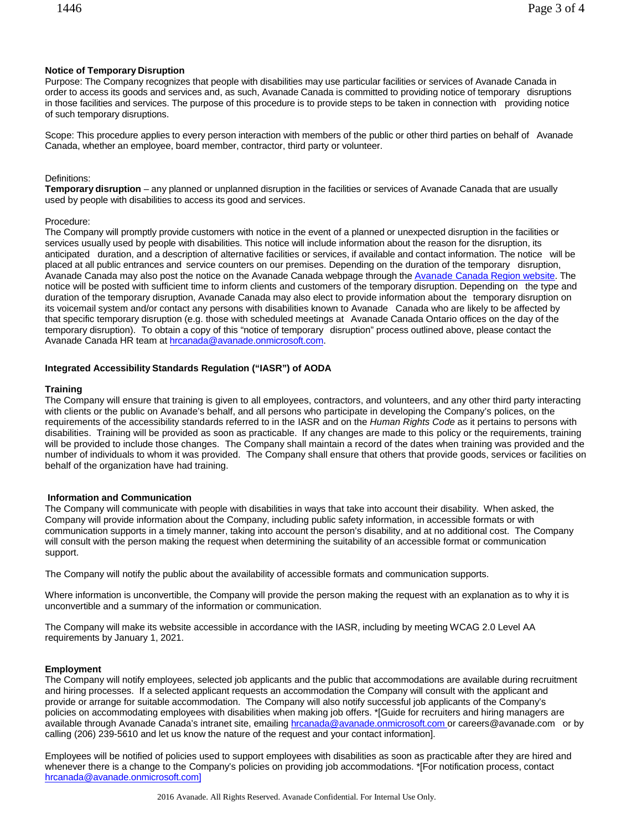#### **Notice of Temporary Disruption**

Purpose: The Company recognizes that people with disabilities may use particular facilities or services of Avanade Canada in order to access its goods and services and, as such, Avanade Canada is committed to providing notice of temporary disruptions in those facilities and services. The purpose of this procedure is to provide steps to be taken in connection with providing notice of such temporary disruptions.

Scope: This procedure applies to every person interaction with members of the public or other third parties on behalf of Avanade Canada, whether an employee, board member, contractor, third party or volunteer.

#### Definitions:

**Temporary disruption** – any planned or unplanned disruption in the facilities or services of Avanade Canada that are usually used by people with disabilities to access its good and services.

#### Procedure:

The Company will promptly provide customers with notice in the event of a planned or unexpected disruption in the facilities or services usually used by people with disabilities. This notice will include information about the reason for the disruption, its anticipated duration, and a description of alternative facilities or services, if available and contact information. The notice will be placed at all public entrances and service counters on our premises. Depending on the duration of the temporary disruption, Avanade Canada may also post the notice on the Avanade Canada webpage through the [Avanade Canada Region](https://avanade.sharepoint.com/teams/NorthAmerica/CanadaRegion/SitePages/AODA%20Compliance.aspx?WikiPageMode=Edit&InitialTabId=Ribbon.EditingTools.CPEditTab&VisibilityContext=WSSWikiPage) website. The notice will be posted with sufficient time to inform clients and customers of the temporary disruption. Depending on the type and duration of the temporary disruption, Avanade Canada may also elect to provide information about the temporary disruption on its voicemail system and/or contact any persons with disabilities known to Avanade Canada who are likely to be affected by that specific temporary disruption (e.g. those with scheduled meetings at Avanade Canada Ontario offices on the day of the temporary disruption). To obtain a copy of this "notice of temporary disruption" process outlined above, please contact the Avanade Canada HR team at [hrcanada@avanade.onmicrosoft.com.](mailto:hrcanada@avanade.onmicrosoft.com)

#### **Integrated Accessibility Standards Regulation ("IASR") of AODA**

#### **Training**

The Company will ensure that training is given to all employees, contractors, and volunteers, and any other third party interacting with clients or the public on Avanade's behalf, and all persons who participate in developing the Company's polices, on the requirements of the accessibility standards referred to in the IASR and on the *Human Rights Code* as it pertains to persons with disabilities. Training will be provided as soon as practicable. If any changes are made to this policy or the requirements, training will be provided to include those changes. The Company shall maintain a record of the dates when training was provided and the number of individuals to whom it was provided. The Company shall ensure that others that provide goods, services or facilities on behalf of the organization have had training.

#### **Information and Communication**

The Company will communicate with people with disabilities in ways that take into account their disability. When asked, the Company will provide information about the Company, including public safety information, in accessible formats or with communication supports in a timely manner, taking into account the person's disability, and at no additional cost. The Company will consult with the person making the request when determining the suitability of an accessible format or communication support.

The Company will notify the public about the availability of accessible formats and communication supports.

Where information is unconvertible, the Company will provide the person making the request with an explanation as to why it is unconvertible and a summary of the information or communication.

The Company will make its website accessible in accordance with the IASR, including by meeting WCAG 2.0 Level AA requirements by January 1, 2021.

#### **Employment**

The Company will notify employees, selected job applicants and the public that accommodations are available during recruitment and hiring processes. If a selected applicant requests an accommodation the Company will consult with the applicant and provide or arrange for suitable accommodation. The Company will also notify successful job applicants of the Company's policies on accommodating employees with disabilities when making job offers. \*[Guide for recruiters and hiring managers are available through Avanade Canada's intranet site, emailing **[hrcanada@avanade.onmicrosoft.com](mailto:hrcanada@avanade.onmicrosoft.com)** or [careers@avanade.com](mailto:careers@avanade.com) or by calling (206) 239-5610 and let us know the nature of the request and your contact information].

Employees will be notified of policies used to support employees with disabilities as soon as practicable after they are hired and whenever there is a change to the Company's policies on providing job accommodations. \*[For notification process, contact [hrcanada@avanade.onmicrosoft.com\]](mailto:hrcanada@avanade.onmicrosoft.com)